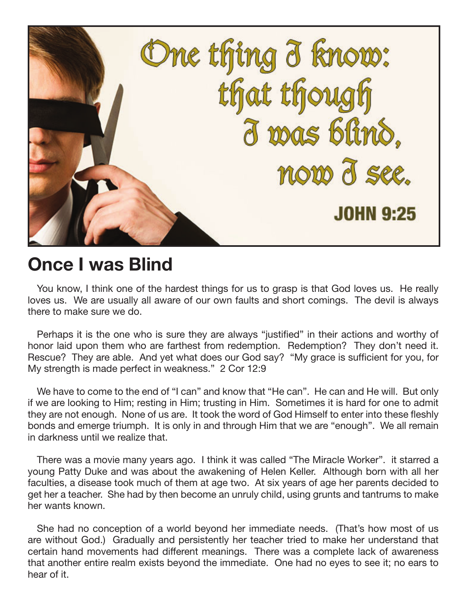

## **Once I was Blind**

You know, I think one of the hardest things for us to grasp is that God loves us. He really loves us. We are usually all aware of our own faults and short comings. The devil is always there to make sure we do.

Perhaps it is the one who is sure they are always "justified" in their actions and worthy of honor laid upon them who are farthest from redemption. Redemption? They don't need it. Rescue? They are able. And yet what does our God say? "My grace is sufficient for you, for My strength is made perfect in weakness." 2 Cor 12:9

We have to come to the end of "I can" and know that "He can". He can and He will. But only if we are looking to Him; resting in Him; trusting in Him. Sometimes it is hard for one to admit they are not enough. None of us are. It took the word of God Himself to enter into these fleshly bonds and emerge triumph. It is only in and through Him that we are "enough". We all remain in darkness until we realize that.

There was a movie many years ago. I think it was called "The Miracle Worker". it starred a young Patty Duke and was about the awakening of Helen Keller. Although born with all her faculties, a disease took much of them at age two. At six years of age her parents decided to get her a teacher. She had by then become an unruly child, using grunts and tantrums to make her wants known.

She had no conception of a world beyond her immediate needs. (That's how most of us are without God.) Gradually and persistently her teacher tried to make her understand that certain hand movements had different meanings. There was a complete lack of awareness that another entire realm exists beyond the immediate. One had no eyes to see it; no ears to hear of it.